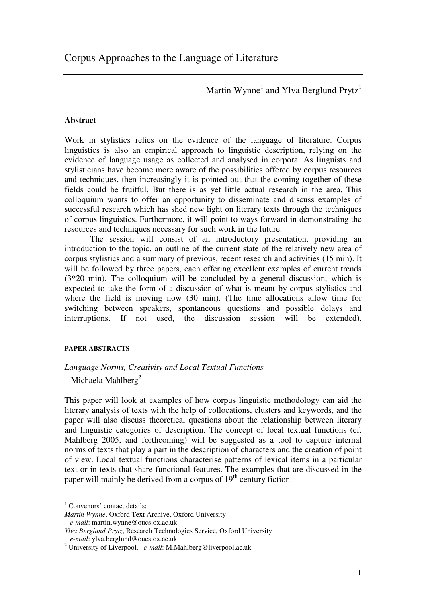Martin Wynne<sup>1</sup> and Ylva Berglund Prytz<sup>1</sup>

## **Abstract**

Work in stylistics relies on the evidence of the language of literature. Corpus linguistics is also an empirical approach to linguistic description, relying on the evidence of language usage as collected and analysed in corpora. As linguists and stylisticians have become more aware of the possibilities offered by corpus resources and techniques, then increasingly it is pointed out that the coming together of these fields could be fruitful. But there is as yet little actual research in the area. This colloquium wants to offer an opportunity to disseminate and discuss examples of successful research which has shed new light on literary texts through the techniques of corpus linguistics. Furthermore, it will point to ways forward in demonstrating the resources and techniques necessary for such work in the future.

The session will consist of an introductory presentation, providing an introduction to the topic, an outline of the current state of the relatively new area of corpus stylistics and a summary of previous, recent research and activities (15 min). It will be followed by three papers, each offering excellent examples of current trends (3\*20 min). The colloquium will be concluded by a general discussion, which is expected to take the form of a discussion of what is meant by corpus stylistics and where the field is moving now (30 min). (The time allocations allow time for switching between speakers, spontaneous questions and possible delays and interruptions. If not used, the discussion session will be extended).

## **PAPER ABSTRACTS**

## *Language Norms, Creativity and Local Textual Functions*

Michaela Mahlberg $^2$ 

This paper will look at examples of how corpus linguistic methodology can aid the literary analysis of texts with the help of collocations, clusters and keywords, and the paper will also discuss theoretical questions about the relationship between literary and linguistic categories of description. The concept of local textual functions (cf. Mahlberg 2005, and forthcoming) will be suggested as a tool to capture internal norms of texts that play a part in the description of characters and the creation of point of view. Local textual functions characterise patterns of lexical items in a particular text or in texts that share functional features. The examples that are discussed in the paper will mainly be derived from a corpus of 19<sup>th</sup> century fiction.

 $<sup>1</sup>$  Convenors' contact details:</sup>

*Martin Wynne*, Oxford Text Archive, Oxford University *e-mail*: martin.wynne@oucs.ox.ac.uk

*Ylva Berglund Prytz*, Research Technologies Service, Oxford University *e-mail*: ylva.berglund@oucs.ox.ac.uk

<sup>2</sup> University of Liverpool, *e-mail*: M.Mahlberg@liverpool.ac.uk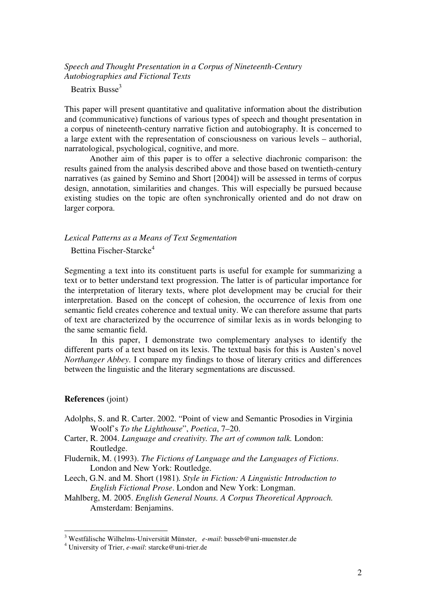# *Speech and Thought Presentation in a Corpus of Nineteenth-Century Autobiographies and Fictional Texts*

Beatrix Busse<sup>3</sup>

This paper will present quantitative and qualitative information about the distribution and (communicative) functions of various types of speech and thought presentation in a corpus of nineteenth-century narrative fiction and autobiography. It is concerned to a large extent with the representation of consciousness on various levels – authorial, narratological, psychological, cognitive, and more.

Another aim of this paper is to offer a selective diachronic comparison: the results gained from the analysis described above and those based on twentieth-century narratives (as gained by Semino and Short [2004]) will be assessed in terms of corpus design, annotation, similarities and changes. This will especially be pursued because existing studies on the topic are often synchronically oriented and do not draw on larger corpora.

### *Lexical Patterns as a Means of Text Segmentation*

Bettina Fischer-Starcke 4

Segmenting a text into its constituent parts is useful for example for summarizing a text or to better understand text progression. The latter is of particular importance for the interpretation of literary texts, where plot development may be crucial for their interpretation. Based on the concept of cohesion, the occurrence of lexis from one semantic field creates coherence and textual unity. We can therefore assume that parts of text are characterized by the occurrence of similar lexis as in words belonging to the same semantic field.

In this paper, I demonstrate two complementary analyses to identify the different parts of a text based on its lexis. The textual basis for this is Austen's novel *Northanger Abbey*. I compare my findings to those of literary critics and differences between the linguistic and the literary segmentations are discussed.

#### **References** (joint)

- Adolphs, S. and R. Carter. 2002. "Point of view and Semantic Prosodies in Virginia Woolf's *To the Lighthouse*", *Poetica*, 7–20.
- Carter, R. 2004. *Language and creativity. The art of common talk.* London: Routledge.
- Fludernik, M. (1993). *The Fictions of Language and the Languages of Fictions*. London and New York: Routledge.
- Leech, G.N. and M. Short (1981)*. Style in Fiction: A Linguistic Introduction to English Fictional Prose*. London and New York: Longman.
- Mahlberg, M. 2005. *English General Nouns. A Corpus Theoretical Approach.* Amsterdam: Benjamins.

<sup>3</sup> Westfälische Wilhelms-Universität Münster, *e-mail*: busseb@uni-muenster.de

<sup>4</sup> University of Trier, *e-mail*: starcke@uni-trier.de